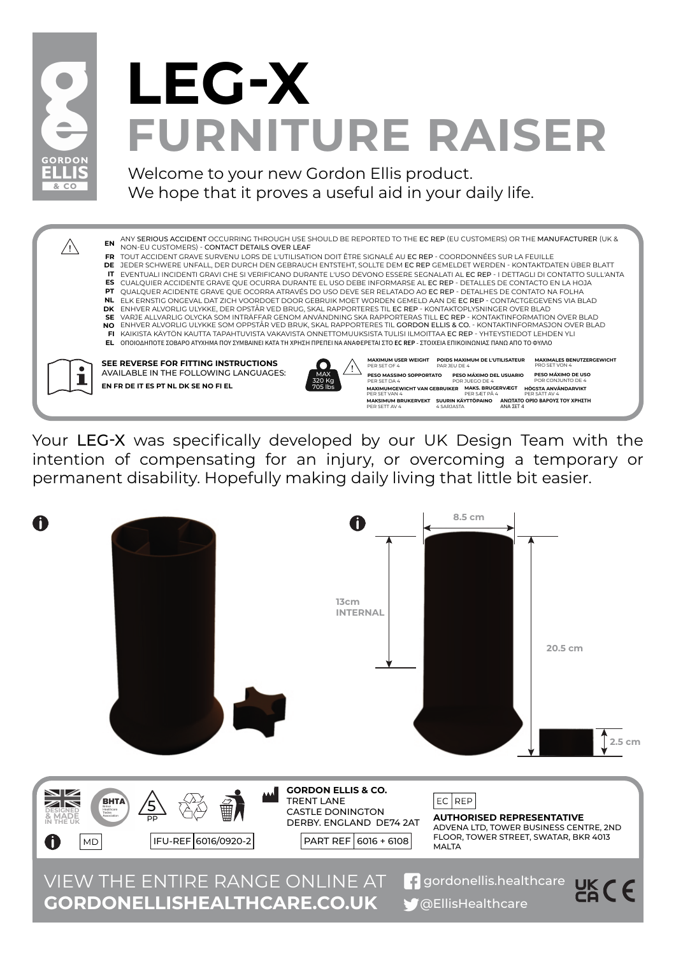

## **FURNITURE RAISER LEG-X**

Welcome to your new Gordon Ellis product. We hope that it proves a useful aid in your daily life.



Your LEG-X was specifically developed by our UK Design Team with the intention of compensating for an injury, or overcoming a temporary or permanent disability. Hopefully making daily living that little bit easier.